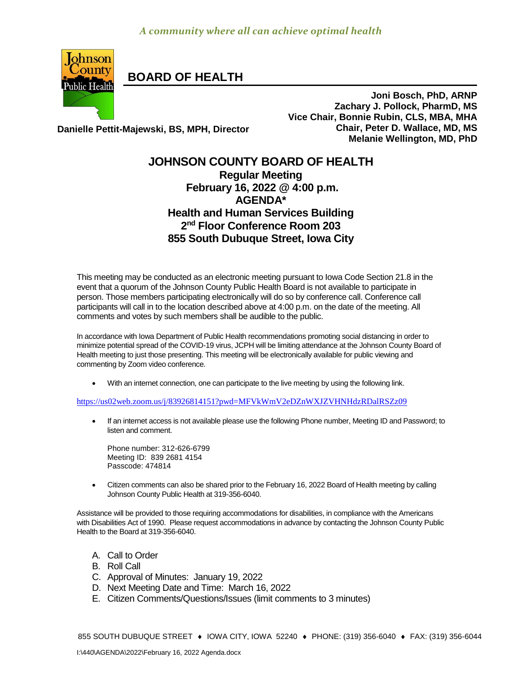

**BOARD OF HEALTH**

**Joni Bosch, PhD, ARNP Zachary J. Pollock, PharmD, MS Vice Chair, Bonnie Rubin, CLS, MBA, MHA Chair, Peter D. Wallace, MD, MS Melanie Wellington, MD, PhD**

**Danielle Pettit-Majewski, BS, MPH, Director**

## **JOHNSON COUNTY BOARD OF HEALTH Regular Meeting February 16, 2022 @ 4:00 p.m. AGENDA\* Health and Human Services Building 2 nd Floor Conference Room 203 855 South Dubuque Street, Iowa City**

This meeting may be conducted as an electronic meeting pursuant to Iowa Code Section 21.8 in the event that a quorum of the Johnson County Public Health Board is not available to participate in person. Those members participating electronically will do so by conference call. Conference call participants will call in to the location described above at 4:00 p.m. on the date of the meeting. All comments and votes by such members shall be audible to the public.

In accordance with Iowa Department of Public Health recommendations promoting social distancing in order to minimize potential spread of the COVID-19 virus, JCPH will be limiting attendance at the Johnson County Board of Health meeting to just those presenting. This meeting will be electronically available for public viewing and commenting by Zoom video conference.

With an internet connection, one can participate to the live meeting by using the following link.

<https://us02web.zoom.us/j/83926814151?pwd=MFVkWmV2eDZnWXJZVHNHdzRDalRSZz09>

• If an internet access is not available please use the following Phone number, Meeting ID and Password; to listen and comment.

Phone number: 312-626-6799 Meeting ID: 839 2681 4154 Passcode: 474814

 [Citizen](http://citizen/) comments can also be shared prior to the February 16, 2022 Board of Health meeting by calling Johnson County Public Health at 319-356-6040.

Assistance will be provided to those requiring accommodations for disabilities, in compliance with the Americans with Disabilities Act of 1990. Please request accommodations in advance by contacting the Johnson County Public Health to the Board at 319-356-6040.

- A. Call to Order
- B. Roll Call
- C. Approval of Minutes: January 19, 2022
- D. Next Meeting Date and Time: March 16, 2022
- E. Citizen Comments/Questions/Issues (limit comments to 3 minutes)